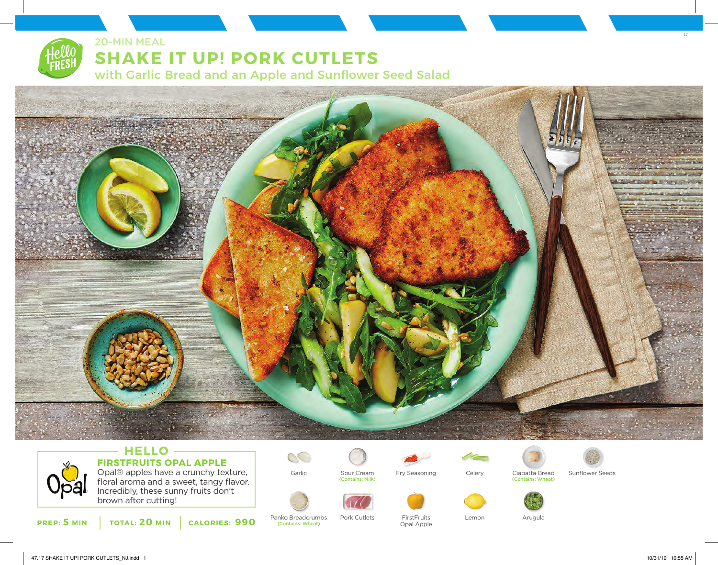

20-MIN MEAL

# **SHAKE IT UP! PORK CUTLETS**

with Garlic Bread and an Apple and Sunflower Seed Salad



### $-$  **HELLO**  $-$ **FIRSTFRUITS OPAL APPLE**

Opal® apples have a crunchy texture, floral aroma and a sweet, tangy flavor. Incredibly, these sunny fruits don't brown after cutting!



Panko Breadcrumbs (Contains: Wheat)

 $\circlearrowright$ 

Sour Cream

(Contains: Milk)



Garlic Sour Cream Fry Seasoning Celery Ciabatta Bread Sunflower Seeds

Opal Apple



FirstFruits Lemon



(Contains: Wheat)





Pork Cutlets FirstFruits Lemon Arugula

17